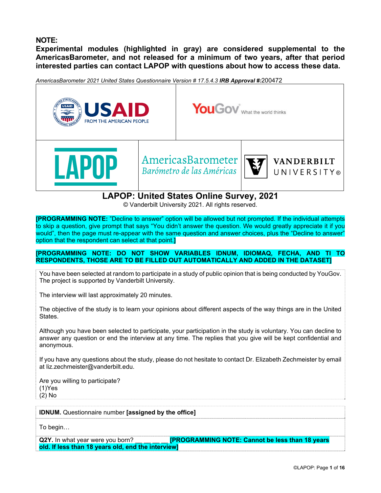# **NOTE:**

**Experimental modules (highlighted in gray) are considered supplemental to the AmericasBarometer, and not released for a minimum of two years, after that period interested parties can contact LAPOP with questions about how to access these data.** 

*AmericasBarometer 2021 United States Questionnaire Version # 17.5.4.3 IRB Approval #:*200472



**[PROGRAMMING NOTE:** "Decline to answer" option will be allowed but not prompted. If the individual attempts to skip a question, give prompt that says "You didn't answer the question. We would greatly appreciate it if you would", then the page must re-appear with the same question and answer choices, plus the "Decline to answer" option that the respondent can select at that point.**]**

### **[PROGRAMMING NOTE: DO NOT SHOW VARIABLES IDNUM, IDIOMAQ, FECHA, AND TI TO RESPONDENTS, THOSE ARE TO BE FILLED OUT AUTOMATICALLY AND ADDED IN THE DATASET]**

You have been selected at random to participate in a study of public opinion that is being conducted by YouGov. The project is supported by Vanderbilt University.

The interview will last approximately 20 minutes.

The objective of the study is to learn your opinions about different aspects of the way things are in the United States.

Although you have been selected to participate, your participation in the study is voluntary. You can decline to answer any question or end the interview at any time. The replies that you give will be kept confidential and anonymous.

If you have any questions about the study, please do not hesitate to contact Dr. Elizabeth Zechmeister by email at liz.zechmeister@vanderbilt.edu.

Are you willing to participate? (1)Yes (2) No

**IDNUM.** Questionnaire number **[assigned by the office]**

To begin…

**Q2Y.** In what year were you born? **Example 20 YO EXAMMING NOTE: Cannot be less than 18 years old. If less than 18 years old, end the interview]**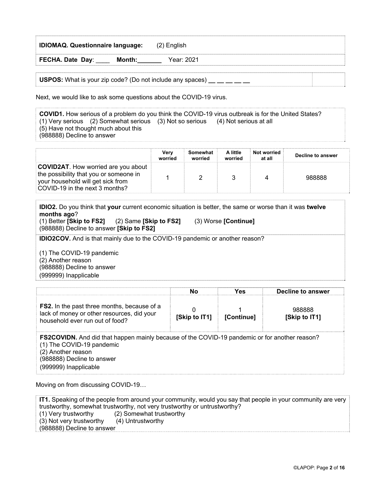| <b>IDIOMAQ. Questionnaire language:</b>                          | (2) English |  |
|------------------------------------------------------------------|-------------|--|
| FECHA. Date Day:<br>Month:                                       | Year: 2021  |  |
| <b>USPOS:</b> What is your zip code? (Do not include any spaces) |             |  |

Next, we would like to ask some questions about the COVID-19 virus.

**COVID1.** How serious of a problem do you think the COVID-19 virus outbreak is for the United States? (1) Very serious (2) Somewhat serious (3) Not so serious (4) Not serious at all (5) Have not thought much about this (988888) Decline to answer

|                                                                                                                                                             | Verv<br>worried | Somewhat<br>worried | A little<br>worried | Not worried<br>at all | Decline to answer |
|-------------------------------------------------------------------------------------------------------------------------------------------------------------|-----------------|---------------------|---------------------|-----------------------|-------------------|
| <b>COVID2AT.</b> How worried are you about<br>the possibility that you or someone in<br>your household will get sick from<br>COVID-19 in the next 3 months? |                 |                     |                     |                       | 988888            |

**IDIO2.** Do you think that **your** current economic situation is better, the same or worse than it was **twelve months ago**? (1) Better **[Skip to FS2]** (2) Same **[Skip to FS2]** (3) Worse **[Continue]** (988888) Decline to answer **[Skip to FS2]**

**IDIO2COV.** And is that mainly due to the COVID-19 pandemic or another reason?

(1) The COVID-19 pandemic (2) Another reason (988888) Decline to answer (999999) Inapplicable

|                                                                                                                                     | Nο            | Yes                | Decline to answer       |
|-------------------------------------------------------------------------------------------------------------------------------------|---------------|--------------------|-------------------------|
| <b>FS2.</b> In the past three months, because of a<br>lack of money or other resources, did your<br>household ever run out of food? | [Skip to IT1] | <b>IContinue</b> l | 988888<br>[Skip to IT1] |

**FS2COVIDN.** And did that happen mainly because of the COVID-19 pandemic or for another reason? (1) The COVID-19 pandemic (2) Another reason (988888) Decline to answer (999999) Inapplicable

Moving on from discussing COVID-19…

**IT1.** Speaking of the people from around your community, would you say that people in your community are very trustworthy, somewhat trustworthy, not very trustworthy or untrustworthy? (1) Very trustworthy (2) Somewhat trustworthy (3) Not very trustworthy (4) Untrustworthy (988888) Decline to answer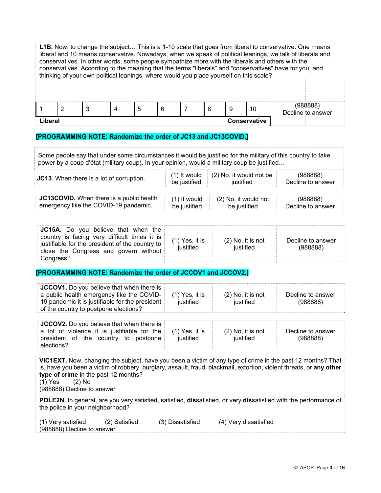**L1B.** Now, to change the subject… This is a 1-10 scale that goes from liberal to conservative. One means liberal and 10 means conservative. Nowadays, when we speak of political leanings, we talk of liberals and conservatives. In other words, some people sympathize more with the liberals and others with the conservatives. According to the meaning that the terms "liberals" and "conservatives" have for you, and thinking of your own political leanings, where would you place yourself on this scale? 1 2 3 4 5 6 7 8 9 10 (988888) Decline to answer **Liberal Conservative**

## **[PROGRAMMING NOTE: Randomize the order of JC13 and JC13COVID.]**

Some people say that under some circumstances it would be justified for the military of this country to take power by a coup d'état (military coup). In your opinion, would a military coup be justified…

|  | <b>JC13.</b> When there is a lot of corruption. | (1) It would<br>be justified | $(2)$ No, it would not be<br>ustified | 988888)<br>Decline to answer |
|--|-------------------------------------------------|------------------------------|---------------------------------------|------------------------------|
|--|-------------------------------------------------|------------------------------|---------------------------------------|------------------------------|

| <b>JC13COVID.</b> When there is a public health | (1) It would | (2) No. it would not | (988888)          |
|-------------------------------------------------|--------------|----------------------|-------------------|
| emergency like the COVID-19 pandemic.           | be justified | be justified         | Decline to answer |

| <b>JC15A.</b> Do you believe that when the<br>country is facing very difficult times it is<br>justifiable for the president of the country to<br>close the Congress and govern without<br>Congress? | $(1)$ Yes, it is<br>iustified | $(2)$ No, it is not<br>iustified | Decline to answer<br>(988888) |
|-----------------------------------------------------------------------------------------------------------------------------------------------------------------------------------------------------|-------------------------------|----------------------------------|-------------------------------|
|-----------------------------------------------------------------------------------------------------------------------------------------------------------------------------------------------------|-------------------------------|----------------------------------|-------------------------------|

**[PROGRAMMING NOTE: Randomize the order of JCCOV1 and JCCOV2.]**

| <b>JCCOV1.</b> Do you believe that when there is<br>a public health emergency like the COVID-<br>19 pandemic it is justifiable for the president<br>of the country to postpone elections? | $(1)$ Yes, it is<br>justified | $(2)$ No, it is not<br>justified | Decline to answer<br>(988888) |
|-------------------------------------------------------------------------------------------------------------------------------------------------------------------------------------------|-------------------------------|----------------------------------|-------------------------------|
| JCCOV2. Do you believe that when there is<br>a lot of violence it is justifiable for the<br>president of the country to postpone<br>elections?                                            | $(1)$ Yes, it is<br>justified | $(2)$ No, it is not<br>justified | Decline to answer<br>(988888) |

**VIC1EXT.** Now, changing the subject, have you been a victim of any type of crime in the past 12 months? That is, have you been a victim of robbery, burglary, assault, fraud, blackmail, extortion, violent threats, or **any other type of crime** in the past 12 months? (1) Yes (2) No (988888) Decline to answer **POLE2N.** In general, are you very satisfied, satisfied, **dis**satisfied, or very **dis**satisfied with the performance of the police in your neighborhood?

| (1) Very satisfied |                            | (2) Satisfied | (3) Dissatisfied | (4) Very dissatisfied |  |
|--------------------|----------------------------|---------------|------------------|-----------------------|--|
|                    | (988888) Decline to answer |               |                  |                       |  |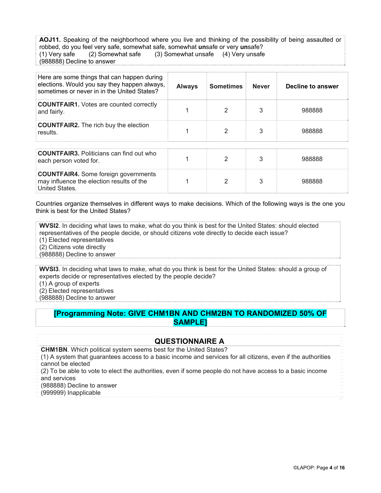**AOJ11.** Speaking of the neighborhood where you live and thinking of the possibility of being assaulted or robbed, do you feel very safe, somewhat safe, somewhat **un**safe or very **un**safe? (1) Very safe (2) Somewhat safe (3) Somewhat unsafe (4) Very unsafe (988888) Decline to answer

| Here are some things that can happen during<br>elections. Would you say they happen always,<br>sometimes or never in in the United States? | <b>Always</b> | <b>Sometimes</b> | <b>Never</b> | Decline to answer |
|--------------------------------------------------------------------------------------------------------------------------------------------|---------------|------------------|--------------|-------------------|
| <b>COUNTFAIR1.</b> Votes are counted correctly<br>and fairly.                                                                              |               | 2                | 3            | 988888            |
| <b>COUNTFAIR2.</b> The rich buy the election<br>results.                                                                                   |               | 2                | 3            | 988888            |
|                                                                                                                                            |               |                  |              |                   |
| <b>COUNTFAIR3.</b> Politicians can find out who<br>each person voted for.                                                                  |               | 2                | 3            | 988888            |
| <b>COUNTFAIR4.</b> Some foreign governments<br>may influence the election results of the<br>United States.                                 |               | 2                | 3            | 988888            |

Countries organize themselves in different ways to make decisions. Which of the following ways is the one you think is best for the United States?

**WVSI2**. In deciding what laws to make, what do you think is best for the United States: should elected representatives of the people decide, or should citizens vote directly to decide each issue? (1) Elected representatives (2) Citizens vote directly

(988888) Decline to answer

**WVSI3**. In deciding what laws to make, what do you think is best for the United States: should a group of experts decide or representatives elected by the people decide?

(1) A group of experts

(2) Elected representatives

(988888) Decline to answer

# **[Programming Note: GIVE CHM1BN AND CHM2BN TO RANDOMIZED 50% OF SAMPLE]**

# **QUESTIONNAIRE A**

**CHM1BN**. Which political system seems best for the United States?

(1) A system that guarantees access to a basic income and services for all citizens, even if the authorities cannot be elected

(2) To be able to vote to elect the authorities, even if some people do not have access to a basic income and services

(988888) Decline to answer

(999999) Inapplicable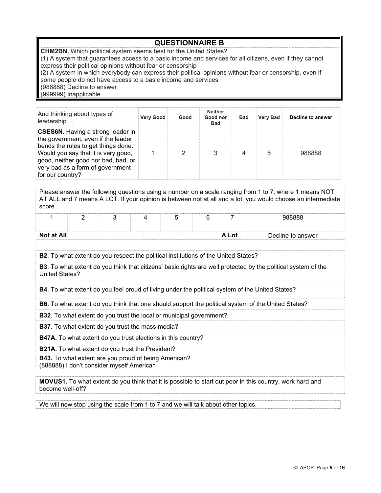# **QUESTIONNAIRE B**

**CHM2BN.** Which political system seems best for the United States?

(1) A system that guarantees access to a basic income and services for all citizens, even if they cannot express their political opinions without fear or censorship

(2) A system in which everybody can express their political opinions without fear or censorship, even if some people do not have access to a basic income and services

(988888) Decline to answer

(999999) Inapplicable

| And thinking about types of<br>leadership                                                                                                                                                                                                                   | <b>Very Good</b> | Good | Neither<br>Good nor<br><b>Bad</b> | <b>Bad</b> | <b>Very Bad</b> | Decline to answer |
|-------------------------------------------------------------------------------------------------------------------------------------------------------------------------------------------------------------------------------------------------------------|------------------|------|-----------------------------------|------------|-----------------|-------------------|
| <b>CSES6N.</b> Having a strong leader in<br>the government, even if the leader<br>bends the rules to get things done.<br>Would you say that it is very good,<br>good, neither good nor bad, bad, or<br>very bad as a form of government<br>for our country? |                  |      | 3                                 |            | 5               | 988888            |

Please answer the following questions using a number on a scale ranging from 1 to 7, where 1 means NOT AT ALL and 7 means A LOT. If your opinion is between not at all and a lot, you would choose an intermediate score.

|            |  | . . |  | -     | 988888            |
|------------|--|-----|--|-------|-------------------|
|            |  |     |  |       |                   |
| Not at All |  |     |  | A Lot | Decline to answer |

**B2**. To what extent do you respect the political institutions of the United States?

**B3**. To what extent do you think that citizens' basic rights are well protected by the political system of the United States?

**B4**. To what extent do you feel proud of living under the political system of the United States?

**B6.** To what extent do you think that one should support the political system of the United States?

**B32**. To what extent do you trust the local or municipal government?

**B37**. To what extent do you trust the mass media?

**B47A.** To what extent do you trust elections in this country?

**B21A.** To what extent do you trust the President?

**B43.** To what extent are you proud of being American? (888888) I don't consider myself American

**MOVUS1.** To what extent do you think that it is possible to start out poor in this country, work hard and become well-off?

We will now stop using the scale from 1 to 7 and we will talk about other topics.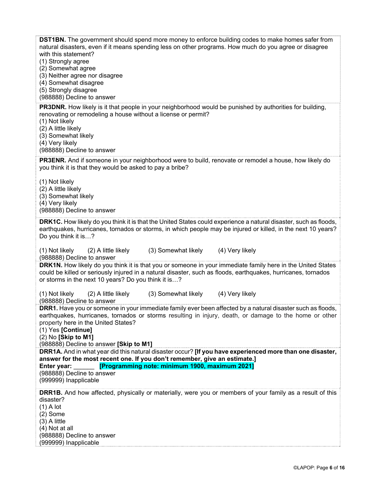| <b>DST1BN.</b> The government should spend more money to enforce building codes to make homes safer from<br>natural disasters, even if it means spending less on other programs. How much do you agree or disagree<br>with this statement?<br>(1) Strongly agree<br>(2) Somewhat agree<br>(3) Neither agree nor disagree<br>(4) Somewhat disagree<br>(5) Strongly disagree<br>(988888) Decline to answer                                                                   |
|----------------------------------------------------------------------------------------------------------------------------------------------------------------------------------------------------------------------------------------------------------------------------------------------------------------------------------------------------------------------------------------------------------------------------------------------------------------------------|
| <b>PR3DNR.</b> How likely is it that people in your neighborhood would be punished by authorities for building,<br>renovating or remodeling a house without a license or permit?<br>(1) Not likely<br>(2) A little likely<br>(3) Somewhat likely<br>(4) Very likely<br>(988888) Decline to answer                                                                                                                                                                          |
| <b>PR3ENR.</b> And if someone in your neighborhood were to build, renovate or remodel a house, how likely do<br>you think it is that they would be asked to pay a bribe?<br>(1) Not likely<br>(2) A little likely<br>(3) Somewhat likely<br>(4) Very likely<br>(988888) Decline to answer                                                                                                                                                                                  |
| <b>DRK1C.</b> How likely do you think it is that the United States could experience a natural disaster, such as floods,<br>earthquakes, hurricanes, tornados or storms, in which people may be injured or killed, in the next 10 years?<br>Do you think it is?<br>(3) Somewhat likely<br>(4) Very likely<br>(1) Not likely<br>(2) A little likely                                                                                                                          |
| (988888) Decline to answer<br>DRK1N. How likely do you think it is that you or someone in your immediate family here in the United States<br>could be killed or seriously injured in a natural disaster, such as floods, earthquakes, hurricanes, tornados<br>or storms in the next 10 years? Do you think it is?                                                                                                                                                          |
| (3) Somewhat likely<br>(4) Very likely<br>(1) Not likely<br>(2) A little likely<br>(988888) Decline to answer                                                                                                                                                                                                                                                                                                                                                              |
| <b>DRR1.</b> Have you or someone in your immediate family ever been affected by a natural disaster such as floods,<br>earthquakes, hurricanes, tornados or storms resulting in injury, death, or damage to the home or other<br>property here in the United States?<br>(1) Yes [Continue]<br>$(2)$ No [Skip to M1]<br>(988888) Decline to answer [Skip to M1]<br>DRR1A. And in what year did this natural disaster occur? [If you have experienced more than one disaster, |
| answer for the most recent one. If you don't remember, give an estimate.]<br>[Programming note: minimum 1900, maximum 2021]<br>Enter year:<br>(988888) Decline to answer<br>(999999) Inapplicable                                                                                                                                                                                                                                                                          |
| <b>DRR1B.</b> And how affected, physically or materially, were you or members of your family as a result of this<br>disaster?<br>$(1)$ A lot<br>$(2)$ Some<br>$(3)$ A little<br>(4) Not at all<br>(988888) Decline to answer<br>(999999) Inapplicable                                                                                                                                                                                                                      |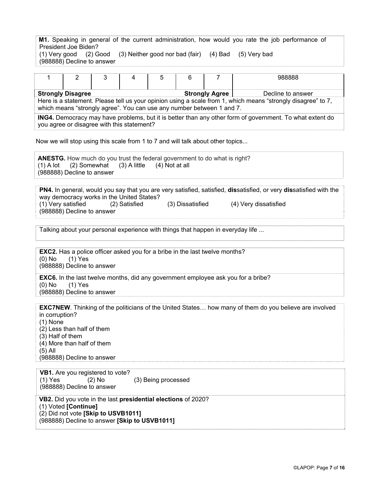| M1. Speaking in general of the current administration, how would you rate the job performance of |  |  |   |   |   |  |        |  |  |
|--------------------------------------------------------------------------------------------------|--|--|---|---|---|--|--------|--|--|
| President Joe Biden?                                                                             |  |  |   |   |   |  |        |  |  |
| (1) Very good (2) Good (3) Neither good nor bad (fair) (4) Bad (5) Very bad                      |  |  |   |   |   |  |        |  |  |
| (988888) Decline to answer                                                                       |  |  |   |   |   |  |        |  |  |
|                                                                                                  |  |  |   |   |   |  |        |  |  |
|                                                                                                  |  |  | 4 | 5 | 6 |  | 988888 |  |  |
|                                                                                                  |  |  |   |   |   |  |        |  |  |
|                                                                                                  |  |  |   |   |   |  |        |  |  |

Here is a statement. Please tell us your opinion using a scale from 1, which means "strongly disagree" to 7, which means "strongly agree". You can use any number between 1 and 7.

**ING4.** Democracy may have problems, but it is better than any other form of government. To what extent do you agree or disagree with this statement?

Now we will stop using this scale from 1 to 7 and will talk about other topics...

**ANESTG.** How much do you trust the federal government to do what is right?  $(1)$  A lot  $(2)$  Somewhat  $(3)$  A little  $(4)$  Not at all (988888) Decline to answer

**PN4.** In general, would you say that you are very satisfied, satisfied, **dis**satisfied, or very **dis**satisfied with the way democracy works in the United States?<br>(1) Very satisfied (2) Satisfied (1) Very satisfied (2) Satisfied (3) Dissatisfied (4) Very dissatisfied (988888) Decline to answer

Talking about your personal experience with things that happen in everyday life ...

**EXC2.** Has a police officer asked you for a bribe in the last twelve months? (0) No (1) Yes (988888) Decline to answer

**EXC6.** In the last twelve months, did any government employee ask you for a bribe? (0) No (1) Yes (988888) Decline to answer

**EXC7NEW**. Thinking of the politicians of the United States… how many of them do you believe are involved in corruption? (1) None (2) Less than half of them (3) Half of them (4) More than half of them (5) All (988888) Decline to answer

**VB1.** Are you registered to vote? (1) Yes (2) No (3) Being processed (988888) Decline to answer

**VB2.** Did you vote in the last **presidential elections** of 2020? (1) Voted **[Continue]**  (2) Did not vote **[Skip to USVB1011]**  (988888) Decline to answer **[Skip to USVB1011]**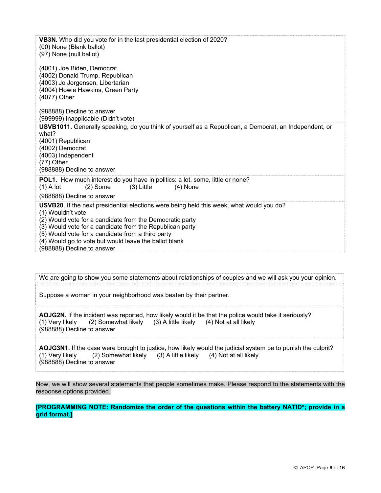**VB3N.** Who did you vote for in the last presidential election of 2020? (00) None (Blank ballot) (97) None (null ballot) (4001) Joe Biden, Democrat (4002) Donald Trump, Republican (4003) Jo Jorgensen, Libertarian (4004) Howie Hawkins, Green Party (4077) Other (988888) Decline to answer (999999) Inapplicable (Didn't vote) **USVB1011.** Generally speaking, do you think of yourself as a Republican, a Democrat, an Independent, or what? (4001) Republican (4002) Democrat (4003) Independent (77) Other (988888) Decline to answer **POL1.** How much interest do you have in politics: a lot, some, little or none?  $(1)$  A lot  $(2)$  Some  $(3)$  Little  $(4)$  None (988888) Decline to answer **USVB20**. If the next presidential elections were being held this week, what would you do? (1) Wouldn't vote (2) Would vote for a candidate from the Democratic party (3) Would vote for a candidate from the Republican party (5) Would vote for a candidate from a third party (4) Would go to vote but would leave the ballot blank

(988888) Decline to answer

We are going to show you some statements about relationships of couples and we will ask you your opinion.

Suppose a woman in your neighborhood was beaten by their partner.

**AOJG2N.** If the incident was reported, how likely would it be that the police would take it seriously? (1) Very likely (2) Somewhat likely (3) A little likely (4) Not at all likely (988888) Decline to answer

**AOJG3N1.** If the case were brought to justice, how likely would the judicial system be to punish the culprit? (1) Very likely (2) Somewhat likely (3) A little likely (4) Not at all likely (988888) Decline to answer

Now, we will show several statements that people sometimes make. Please respond to the statements with the response options provided.

**[PROGRAMMING NOTE: Randomize the order of the questions within the battery NATID\*; provide in a grid format.]**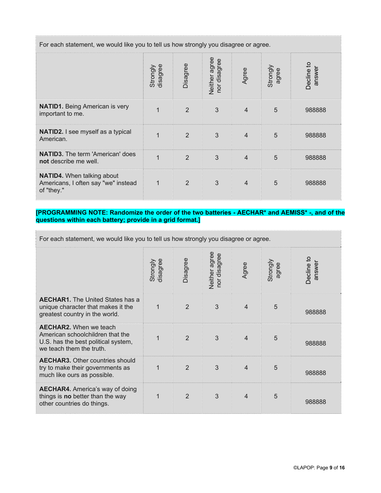For each statement, we would like you to tell us how strongly you disagree or agree.

|                                                                                        | disagree<br>Strongly | Disagree       | Neither agree<br>nor disagree | Agree          | Strongly<br>agree | Decline to<br>answer |  |
|----------------------------------------------------------------------------------------|----------------------|----------------|-------------------------------|----------------|-------------------|----------------------|--|
| <b>NATID1.</b> Being American is very<br>important to me.                              | $\overline{1}$       | $\overline{2}$ | 3                             | $\overline{4}$ | 5                 | 988888               |  |
| NATID2. I see myself as a typical<br>American.                                         |                      | $\overline{2}$ | 3                             | $\overline{4}$ | 5                 | 988888               |  |
| <b>NATID3.</b> The term 'American' does<br>not describe me well.                       | 1                    | $\overline{2}$ | 3                             | $\overline{4}$ | 5                 | 988888               |  |
| <b>NATID4.</b> When talking about<br>Americans, I often say "we" instead<br>of "they." | $\mathbf 1$          | 2              | 3                             | $\overline{4}$ | 5                 | 988888               |  |

### **[PROGRAMMING NOTE: Randomize the order of the two batteries - AECHAR\* and AEMISS\* -, and of the questions within each battery; provide in a grid format.]**

| For each statement, we would like you to tell us how strongly you disagree or agree.                                                 |                      |                |                               |                |                   |                     |  |
|--------------------------------------------------------------------------------------------------------------------------------------|----------------------|----------------|-------------------------------|----------------|-------------------|---------------------|--|
|                                                                                                                                      | disagree<br>Strongly | Disagree       | Neither agree<br>nor disagree | Agree          | Strongly<br>agree | Decline to<br>answe |  |
| <b>AECHAR1.</b> The United States has a<br>unique character that makes it the<br>greatest country in the world.                      | $\overline{1}$       | $\overline{2}$ | 3                             | $\overline{4}$ | 5                 | 988888              |  |
| <b>AECHAR2.</b> When we teach<br>American schoolchildren that the<br>U.S. has the best political system,<br>we teach them the truth. | $\overline{1}$       | $\overline{2}$ | 3                             | $\overline{4}$ | 5                 | 988888              |  |
| <b>AECHAR3.</b> Other countries should<br>try to make their governments as<br>much like ours as possible.                            | 1                    | $\overline{2}$ | 3                             | $\overline{4}$ | 5                 | 988888              |  |
| <b>AECHAR4.</b> America's way of doing<br>things is no better than the way<br>other countries do things.                             | 1                    | 2              | 3                             | $\overline{4}$ | 5                 | 988888              |  |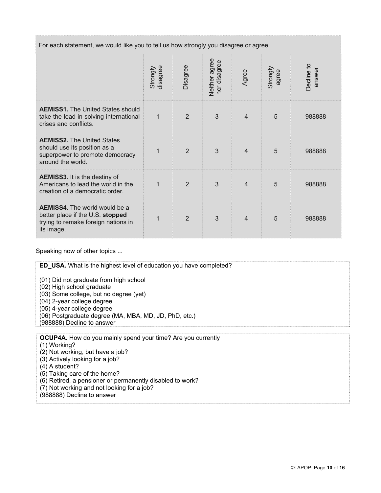For each statement, we would like you to tell us how strongly you disagree or agree.

|                                                                                                                               | Strongly<br>disagree | Disagree       | Neither agree<br>nor disagree | Agree          | Strongly<br>agree | Decline to<br>answer |
|-------------------------------------------------------------------------------------------------------------------------------|----------------------|----------------|-------------------------------|----------------|-------------------|----------------------|
| <b>AEMISS1.</b> The United States should<br>take the lead in solving international<br>crises and conflicts.                   | 1                    | 2              | 3                             | $\overline{4}$ | $5\overline{5}$   | 988888               |
| <b>AEMISS2.</b> The United States<br>should use its position as a<br>superpower to promote democracy<br>around the world.     | $\mathbf 1$          | $\overline{2}$ | 3                             | $\overline{4}$ | 5                 | 988888               |
| <b>AEMISS3.</b> It is the destiny of<br>Americans to lead the world in the<br>creation of a democratic order.                 | 1                    | 2              | 3                             | $\overline{4}$ | 5                 | 988888               |
| <b>AEMISS4.</b> The world would be a<br>better place if the U.S. stopped<br>trying to remake foreign nations in<br>its image. | 1                    | 2              | 3                             | $\overline{4}$ | 5                 | 988888               |

Speaking now of other topics ...

**ED\_USA.** What is the highest level of education you have completed? (01) Did not graduate from high school (02) High school graduate (03) Some college, but no degree (yet) (04) 2-year college degree (05) 4-year college degree (06) Postgraduate degree (MA, MBA, MD, JD, PhD, etc.) (988888) Decline to answer **OCUP4A.** How do you mainly spend your time? Are you currently (1) Working? (2) Not working, but have a job? (3) Actively looking for a job? (4) A student?

- (5) Taking care of the home?
- (6) Retired, a pensioner or permanently disabled to work?
- (7) Not working and not looking for a job?
- (988888) Decline to answer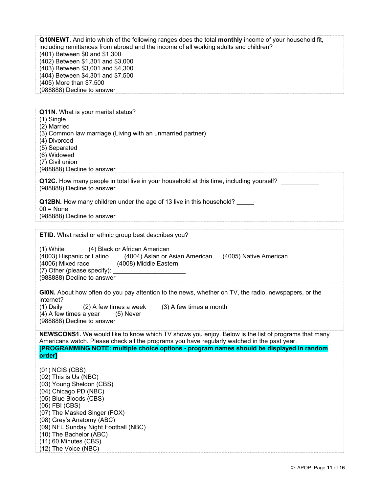**Q10NEWT**. And into which of the following ranges does the total **monthly** income of your household fit, including remittances from abroad and the income of all working adults and children? (401) Between \$0 and \$1,300 (402) Between \$1,301 and \$3,000 (403) Between \$3,001 and \$4,300 (404) Between \$4,301 and \$7,500 (405) More than \$7,500 (988888) Decline to answer

**Q11N**. What is your marital status? (1) Single (2) Married (3) Common law marriage (Living with an unmarried partner) (4) Divorced (5) Separated (6) Widowed (7) Civil union (988888) Decline to answer **Q12C.** How many people in total live in your household at this time, including yourself? **\_\_\_\_\_\_\_\_\_\_\_**  (988888) Decline to answer **Q12BN.** How many children under the age of 13 live in this household? **\_\_\_\_\_**   $00 = \text{None}$ (988888) Decline to answer

**ETID.** What racial or ethnic group best describes you?

(1) White (4) Black or African American (4003) Hispanic or Latino (4004) Asian or Asian American (4005) Native American (4006) Mixed race (4008) Middle Eastern (7) Other (please specify):  $\overline{\phantom{a}}$ (988888) Decline to answer

**GI0N.** About how often do you pay attention to the news, whether on TV, the radio, newspapers, or the internet? (1) Daily (2) A few times a week (3) A few times a month  $(4)$  A few times a year  $(5)$  Never

(988888) Decline to answer

**NEWSCONS1.** We would like to know which TV shows you enjoy. Below is the list of programs that many Americans watch. Please check all the programs you have regularly watched in the past year. **[PROGRAMMING NOTE: multiple choice options - program names should be displayed in random order]** 

(01) NCIS (CBS) (02) This is Us (NBC) (03) Young Sheldon (CBS) (04) Chicago PD (NBC) (05) Blue Bloods (CBS) (06) FBI (CBS) (07) The Masked Singer (FOX) (08) Grey's Anatomy (ABC) (09) NFL Sunday Night Football (NBC) (10) The Bachelor (ABC) (11) 60 Minutes (CBS) (12) The Voice (NBC)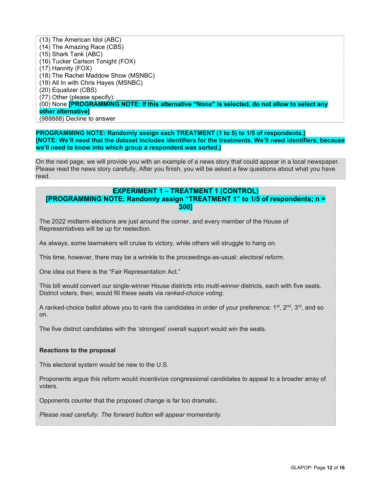(13) The American Idol (ABC) (14) The Amazing Race (CBS) (15) Shark Tank (ABC) (16) Tucker Carlson Tonight (FOX) (17) Hannity (FOX) (18) The Rachel Maddow Show (MSNBC) (19) All In with Chris Hayes (MSNBC) (20) Equalizer (CBS) (77) Other (please specify): (00) None **[PROGRAMMING NOTE: If this alternative "None" is selected, do not allow to select any other alternative]** (988888) Decline to answer

**PROGRAMMING NOTE: Randomly assign each TREATMENT (1 to 5) to 1/5 of respondents.] [NOTE: We'll need that the dataset includes identifiers for the treatments. We'll need identifiers, because we'll need to know into which group a respondent was sorted.]**

On the next page, we will provide you with an example of a news story that could appear in a local newspaper. Please read the news story carefully. After you finish, you will be asked a few questions about what you have read.

# **EXPERIMENT 1 – TREATMENT 1 (CONTROL)**

### **[PROGRAMMING NOTE: Randomly assign "TREATMENT 1" to 1/5 of respondents; n = 300]**

The 2022 midterm elections are just around the corner, and every member of the House of Representatives will be up for reelection.

As always, some lawmakers will cruise to victory, while others will struggle to hang on.

This time, however, there may be a wrinkle to the proceedings-as-usual: *electoral reform*.

One idea out there is the "Fair Representation Act."

This bill would convert our single-winner House districts into *multi*-*winner* districts, each with five seats. District voters, then, would fill these seats via *ranked-choice voting*.

A ranked-choice ballot allows you to rank the candidates in order of your preference:  $1^{st}$ ,  $2^{nd}$ ,  $3^{rd}$ , and so on.

The five district candidates with the 'strongest' overall support would win the seats.

#### **Reactions to the proposal**

This electoral system would be new to the U.S.

Proponents argue this reform would incentivize congressional candidates to appeal to a broader array of voters.

Opponents counter that the proposed change is far too dramatic.

*Please read carefully. The forward button will appear momentarily.*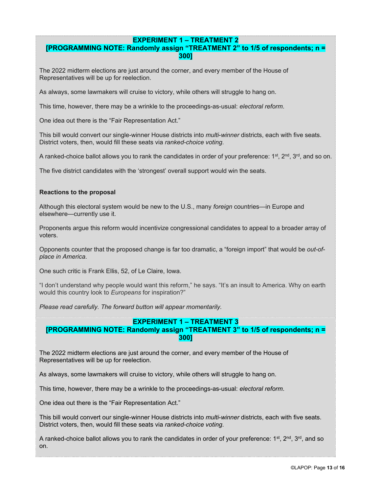# **EXPERIMENT 1 – TREATMENT 2**

## **[PROGRAMMING NOTE: Randomly assign "TREATMENT 2" to 1/5 of respondents; n = 300]**

The 2022 midterm elections are just around the corner, and every member of the House of Representatives will be up for reelection.

As always, some lawmakers will cruise to victory, while others will struggle to hang on.

This time, however, there may be a wrinkle to the proceedings-as-usual: *electoral reform*.

One idea out there is the "Fair Representation Act."

This bill would convert our single-winner House districts into *multi*-*winner* districts, each with five seats. District voters, then, would fill these seats via *ranked-choice voting*.

A ranked-choice ballot allows you to rank the candidates in order of your preference:  $1^{st}$ ,  $2^{nd}$ ,  $3^{rd}$ , and so on.

The five district candidates with the 'strongest' overall support would win the seats.

#### **Reactions to the proposal**

Although this electoral system would be new to the U.S., many *foreign* countries—in Europe and elsewhere—currently use it.

Proponents argue this reform would incentivize congressional candidates to appeal to a broader array of voters.

Opponents counter that the proposed change is far too dramatic, a "foreign import" that would be *out-ofplace in America*.

One such critic is Frank Ellis, 52, of Le Claire, Iowa.

"I don't understand why people would want this reform," he says. "It's an insult to America. Why on earth would this country look to *Europeans* for inspiration?"

*Please read carefully. The forward button will appear momentarily.* 

#### **EXPERIMENT 1 – TREATMENT 3 [PROGRAMMING NOTE: Randomly assign "TREATMENT 3" to 1/5 of respondents; n = 300]**

The 2022 midterm elections are just around the corner, and every member of the House of Representatives will be up for reelection.

As always, some lawmakers will cruise to victory, while others will struggle to hang on.

This time, however, there may be a wrinkle to the proceedings-as-usual: *electoral reform*.

One idea out there is the "Fair Representation Act."

This bill would convert our single-winner House districts into *multi*-*winner* districts, each with five seats. District voters, then, would fill these seats via *ranked-choice voting*.

A ranked-choice ballot allows you to rank the candidates in order of your preference:  $1^{st}$ ,  $2^{nd}$ ,  $3^{rd}$ , and so on.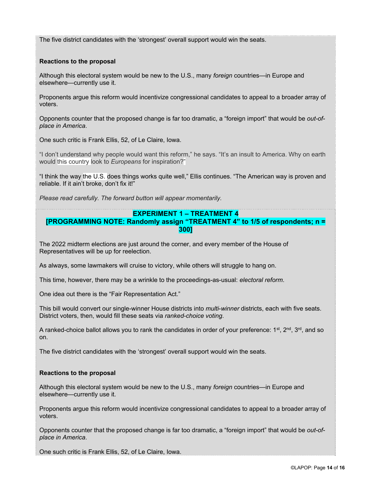The five district candidates with the 'strongest' overall support would win the seats.

### **Reactions to the proposal**

Although this electoral system would be new to the U.S., many *foreign* countries—in Europe and elsewhere—currently use it.

Proponents argue this reform would incentivize congressional candidates to appeal to a broader array of voters.

Opponents counter that the proposed change is far too dramatic, a "foreign import" that would be *out-ofplace in America*.

One such critic is Frank Ellis, 52, of Le Claire, Iowa.

"I don't understand why people would want this reform," he says. "It's an insult to America. Why on earth would this country look to *Europeans* for inspiration?"

"I think the way the U.S. does things works quite well," Ellis continues. "The American way is proven and reliable. If it ain't broke, don't fix it!"

*Please read carefully. The forward button will appear momentarily.* 

#### **EXPERIMENT 1 – TREATMENT 4**

## **[PROGRAMMING NOTE: Randomly assign "TREATMENT 4" to 1/5 of respondents; n = 300]**

The 2022 midterm elections are just around the corner, and every member of the House of Representatives will be up for reelection.

As always, some lawmakers will cruise to victory, while others will struggle to hang on.

This time, however, there may be a wrinkle to the proceedings-as-usual: *electoral reform*.

One idea out there is the "Fair Representation Act."

This bill would convert our single-winner House districts into *multi*-*winner* districts, each with five seats. District voters, then, would fill these seats via *ranked-choice voting*.

A ranked-choice ballot allows you to rank the candidates in order of your preference:  $1^{st}$ ,  $2^{nd}$ ,  $3^{rd}$ , and so on.

The five district candidates with the 'strongest' overall support would win the seats.

#### **Reactions to the proposal**

Although this electoral system would be new to the U.S., many *foreign* countries—in Europe and elsewhere—currently use it.

Proponents argue this reform would incentivize congressional candidates to appeal to a broader array of voters.

Opponents counter that the proposed change is far too dramatic, a "foreign import" that would be *out-ofplace in America*.

One such critic is Frank Ellis, 52, of Le Claire, Iowa.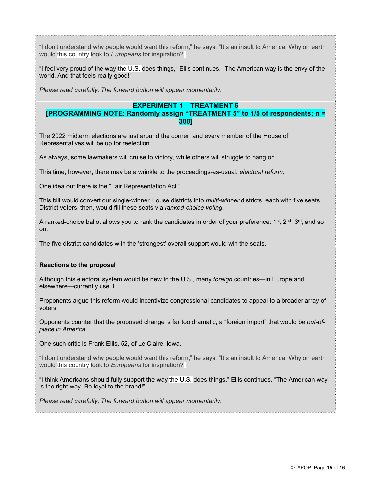"I don't understand why people would want this reform," he says. "It's an insult to America. Why on earth would this country look to *Europeans* for inspiration?"

"I feel very proud of the way the U.S. does things," Ellis continues. "The American way is the envy of the world. And that feels really good!"

*Please read carefully. The forward button will appear momentarily.* 

### **EXPERIMENT 1 – TREATMENT 5 [PROGRAMMING NOTE: Randomly assign "TREATMENT 5" to 1/5 of respondents; n = 300]**

The 2022 midterm elections are just around the corner, and every member of the House of Representatives will be up for reelection.

As always, some lawmakers will cruise to victory, while others will struggle to hang on.

This time, however, there may be a wrinkle to the proceedings-as-usual: *electoral reform*.

One idea out there is the "Fair Representation Act."

This bill would convert our single-winner House districts into *multi*-*winner* districts, each with five seats. District voters, then, would fill these seats via *ranked-choice voting*.

A ranked-choice ballot allows you to rank the candidates in order of your preference:  $1^{st}$ ,  $2^{nd}$ ,  $3^{rd}$ , and so on.

The five district candidates with the 'strongest' overall support would win the seats.

#### **Reactions to the proposal**

Although this electoral system would be new to the U.S., many *foreign* countries—in Europe and elsewhere—currently use it.

Proponents argue this reform would incentivize congressional candidates to appeal to a broader array of voters.

Opponents counter that the proposed change is far too dramatic, a "foreign import" that would be *out-ofplace in America*.

One such critic is Frank Ellis, 52, of Le Claire, Iowa.

"I don't understand why people would want this reform," he says. "It's an insult to America. Why on earth would this country look to *Europeans* for inspiration?"

"I think Americans should fully support the way the U.S. does things," Ellis continues. "The American way is the right way. Be loyal to the brand!"

*Please read carefully. The forward button will appear momentarily.*